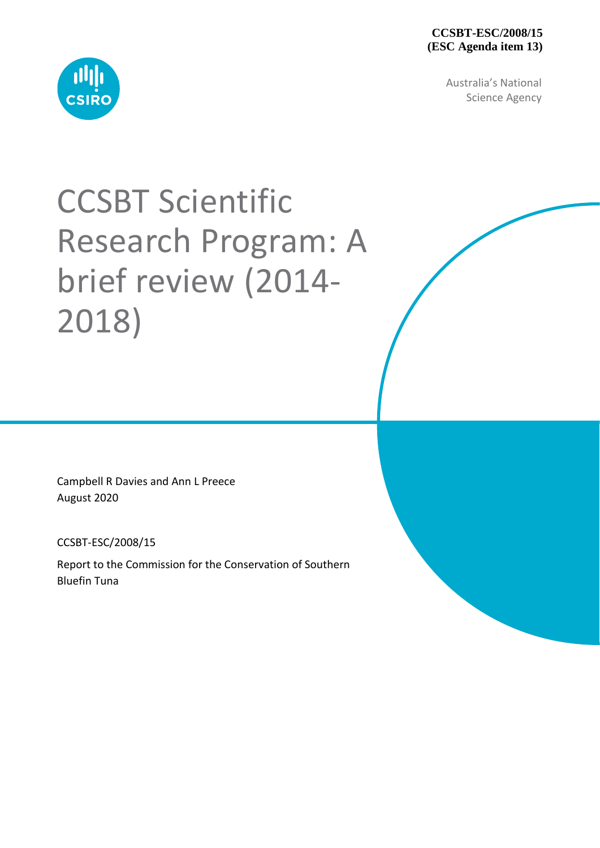#### **CCSBT-ESC/2008/15 (ESC Agenda item 13)**

Australia's National Science Agency



# CCSBT Scientific Research Program: A brief review (2014- 2018)

Campbell R Davies and Ann L Preece August 2020

CCSBT-ESC/2008/15

Report to the Commission for the Conservation of Southern Bluefin Tuna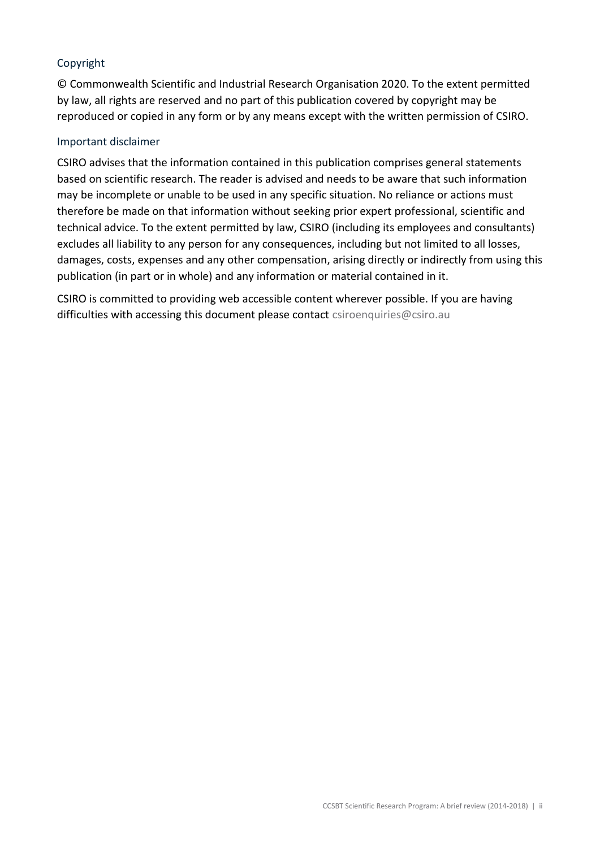#### Copyright

© Commonwealth Scientific and Industrial Research Organisation 2020. To the extent permitted by law, all rights are reserved and no part of this publication covered by copyright may be reproduced or copied in any form or by any means except with the written permission of CSIRO.

#### Important disclaimer

CSIRO advises that the information contained in this publication comprises general statements based on scientific research. The reader is advised and needs to be aware that such information may be incomplete or unable to be used in any specific situation. No reliance or actions must therefore be made on that information without seeking prior expert professional, scientific and technical advice. To the extent permitted by law, CSIRO (including its employees and consultants) excludes all liability to any person for any consequences, including but not limited to all losses, damages, costs, expenses and any other compensation, arising directly or indirectly from using this publication (in part or in whole) and any information or material contained in it.

CSIRO is committed to providing web accessible content wherever possible. If you are having difficulties with accessing this document please contact [csiroenquiries@csiro.au](mailto:csiroenquiries@csiro.au)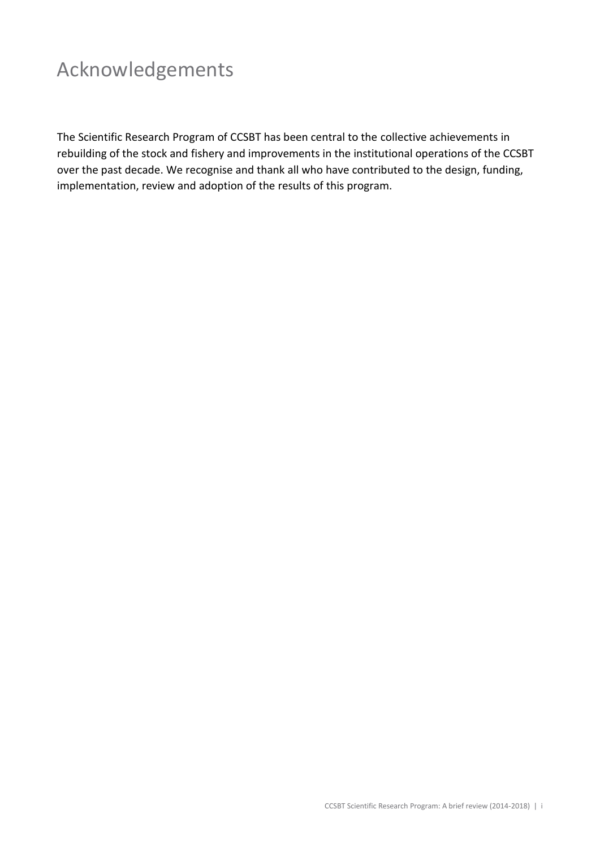# Acknowledgements

The Scientific Research Program of CCSBT has been central to the collective achievements in rebuilding of the stock and fishery and improvements in the institutional operations of the CCSBT over the past decade. We recognise and thank all who have contributed to the design, funding, implementation, review and adoption of the results of this program.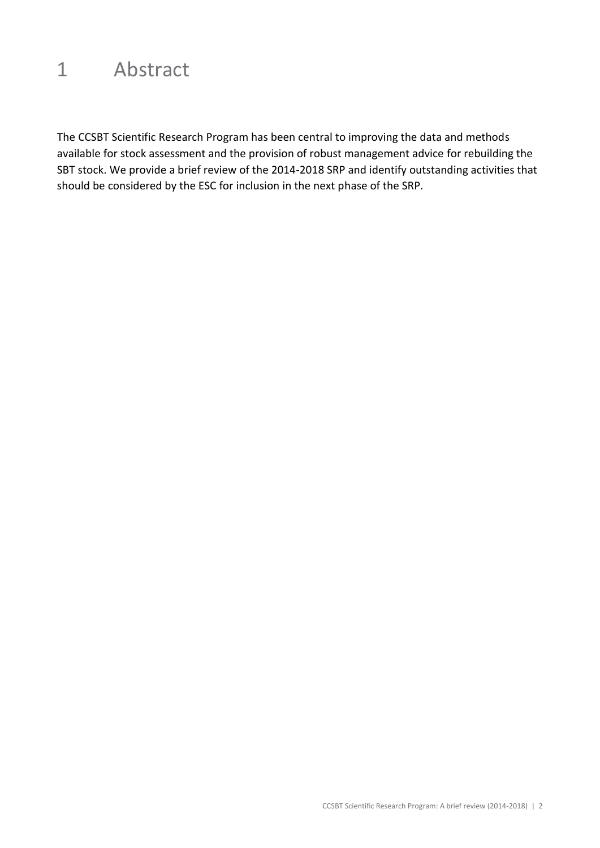### 1 Abstract

The CCSBT Scientific Research Program has been central to improving the data and methods available for stock assessment and the provision of robust management advice for rebuilding the SBT stock. We provide a brief review of the 2014-2018 SRP and identify outstanding activities that should be considered by the ESC for inclusion in the next phase of the SRP.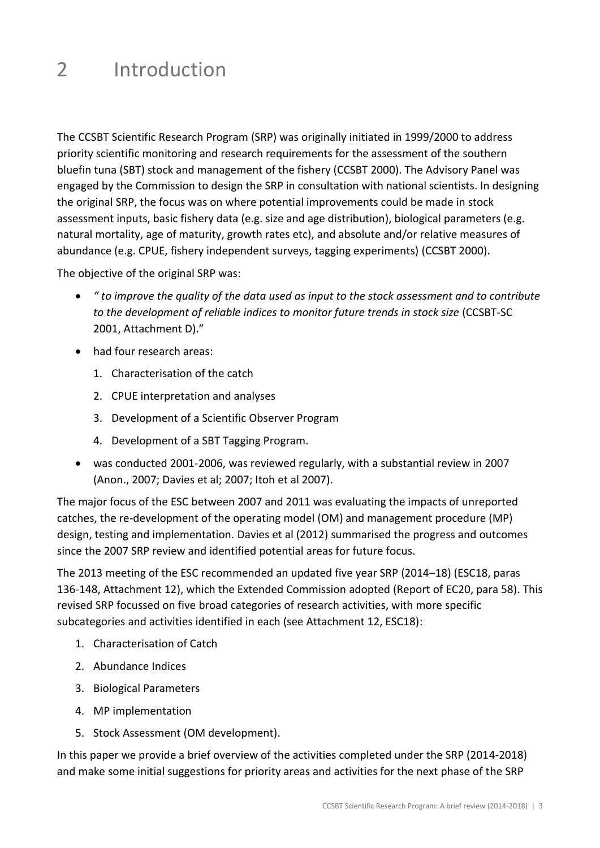## 2 Introduction

The CCSBT Scientific Research Program (SRP) was originally initiated in 1999/2000 to address priority scientific monitoring and research requirements for the assessment of the southern bluefin tuna (SBT) stock and management of the fishery (CCSBT 2000). The Advisory Panel was engaged by the Commission to design the SRP in consultation with national scientists. In designing the original SRP, the focus was on where potential improvements could be made in stock assessment inputs, basic fishery data (e.g. size and age distribution), biological parameters (e.g. natural mortality, age of maturity, growth rates etc), and absolute and/or relative measures of abundance (e.g. CPUE, fishery independent surveys, tagging experiments) (CCSBT 2000).

The objective of the original SRP was:

- *" to improve the quality of the data used as input to the stock assessment and to contribute to the development of reliable indices to monitor future trends in stock size* (CCSBT-SC 2001, Attachment D)."
- had four research areas:
	- 1. Characterisation of the catch
	- 2. CPUE interpretation and analyses
	- 3. Development of a Scientific Observer Program
	- 4. Development of a SBT Tagging Program.
- was conducted 2001-2006, was reviewed regularly, with a substantial review in 2007 (Anon., 2007; Davies et al; 2007; Itoh et al 2007).

The major focus of the ESC between 2007 and 2011 was evaluating the impacts of unreported catches, the re-development of the operating model (OM) and management procedure (MP) design, testing and implementation. Davies et al (2012) summarised the progress and outcomes since the 2007 SRP review and identified potential areas for future focus.

The 2013 meeting of the ESC recommended an updated five year SRP (2014–18) (ESC18, paras 136-148, Attachment 12), which the Extended Commission adopted (Report of EC20, para 58). This revised SRP focussed on five broad categories of research activities, with more specific subcategories and activities identified in each (see Attachment 12, ESC18):

- 1. Characterisation of Catch
- 2. Abundance Indices
- 3. Biological Parameters
- 4. MP implementation
- 5. Stock Assessment (OM development).

In this paper we provide a brief overview of the activities completed under the SRP (2014-2018) and make some initial suggestions for priority areas and activities for the next phase of the SRP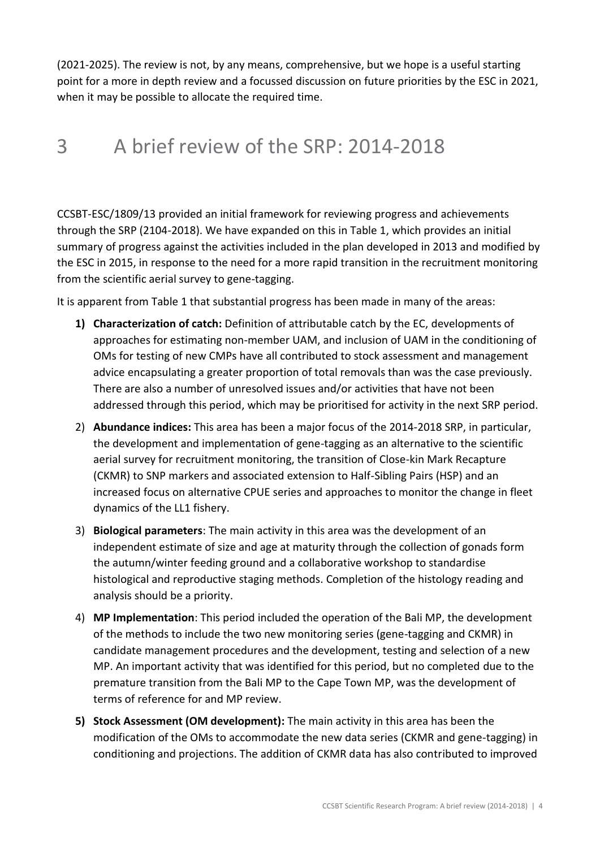(2021-2025). The review is not, by any means, comprehensive, but we hope is a useful starting point for a more in depth review and a focussed discussion on future priorities by the ESC in 2021, when it may be possible to allocate the required time.

### 3 A brief review of the SRP: 2014-2018

CCSBT-ESC/1809/13 provided an initial framework for reviewing progress and achievements through the SRP (2104-2018). We have expanded on this in Table 1, which provides an initial summary of progress against the activities included in the plan developed in 2013 and modified by the ESC in 2015, in response to the need for a more rapid transition in the recruitment monitoring from the scientific aerial survey to gene-tagging.

It is apparent from Table 1 that substantial progress has been made in many of the areas:

- **1) Characterization of catch:** Definition of attributable catch by the EC, developments of approaches for estimating non-member UAM, and inclusion of UAM in the conditioning of OMs for testing of new CMPs have all contributed to stock assessment and management advice encapsulating a greater proportion of total removals than was the case previously. There are also a number of unresolved issues and/or activities that have not been addressed through this period, which may be prioritised for activity in the next SRP period.
- 2) **Abundance indices:** This area has been a major focus of the 2014-2018 SRP, in particular, the development and implementation of gene-tagging as an alternative to the scientific aerial survey for recruitment monitoring, the transition of Close-kin Mark Recapture (CKMR) to SNP markers and associated extension to Half-Sibling Pairs (HSP) and an increased focus on alternative CPUE series and approaches to monitor the change in fleet dynamics of the LL1 fishery.
- 3) **Biological parameters**: The main activity in this area was the development of an independent estimate of size and age at maturity through the collection of gonads form the autumn/winter feeding ground and a collaborative workshop to standardise histological and reproductive staging methods. Completion of the histology reading and analysis should be a priority.
- 4) **MP Implementation**: This period included the operation of the Bali MP, the development of the methods to include the two new monitoring series (gene-tagging and CKMR) in candidate management procedures and the development, testing and selection of a new MP. An important activity that was identified for this period, but no completed due to the premature transition from the Bali MP to the Cape Town MP, was the development of terms of reference for and MP review.
- **5) Stock Assessment (OM development):** The main activity in this area has been the modification of the OMs to accommodate the new data series (CKMR and gene-tagging) in conditioning and projections. The addition of CKMR data has also contributed to improved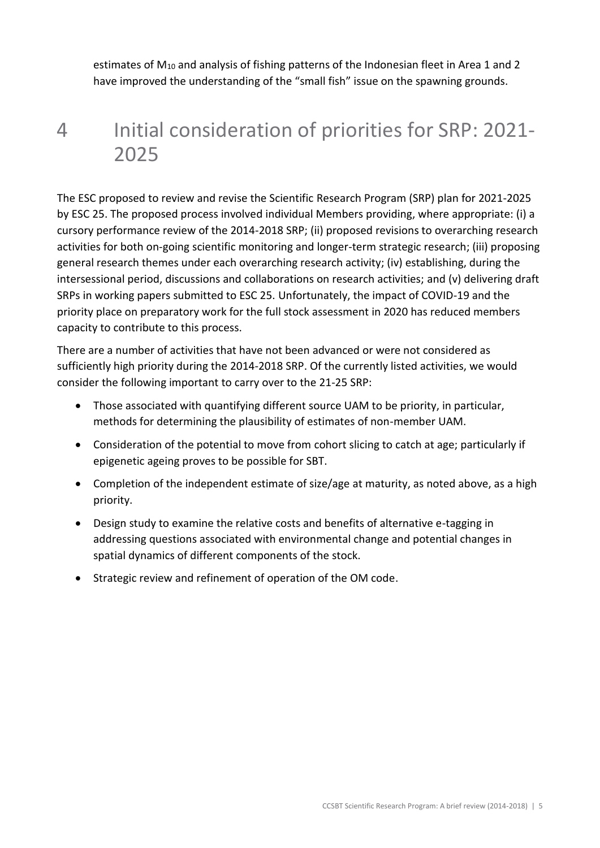estimates of  $M_{10}$  and analysis of fishing patterns of the Indonesian fleet in Area 1 and 2 have improved the understanding of the "small fish" issue on the spawning grounds.

## 4 Initial consideration of priorities for SRP: 2021- 2025

The ESC proposed to review and revise the Scientific Research Program (SRP) plan for 2021-2025 by ESC 25. The proposed process involved individual Members providing, where appropriate: (i) a cursory performance review of the 2014-2018 SRP; (ii) proposed revisions to overarching research activities for both on-going scientific monitoring and longer-term strategic research; (iii) proposing general research themes under each overarching research activity; (iv) establishing, during the intersessional period, discussions and collaborations on research activities; and (v) delivering draft SRPs in working papers submitted to ESC 25. Unfortunately, the impact of COVID-19 and the priority place on preparatory work for the full stock assessment in 2020 has reduced members capacity to contribute to this process.

There are a number of activities that have not been advanced or were not considered as sufficiently high priority during the 2014-2018 SRP. Of the currently listed activities, we would consider the following important to carry over to the 21-25 SRP:

- Those associated with quantifying different source UAM to be priority, in particular, methods for determining the plausibility of estimates of non-member UAM.
- Consideration of the potential to move from cohort slicing to catch at age; particularly if epigenetic ageing proves to be possible for SBT.
- Completion of the independent estimate of size/age at maturity, as noted above, as a high priority.
- Design study to examine the relative costs and benefits of alternative e-tagging in addressing questions associated with environmental change and potential changes in spatial dynamics of different components of the stock.
- Strategic review and refinement of operation of the OM code.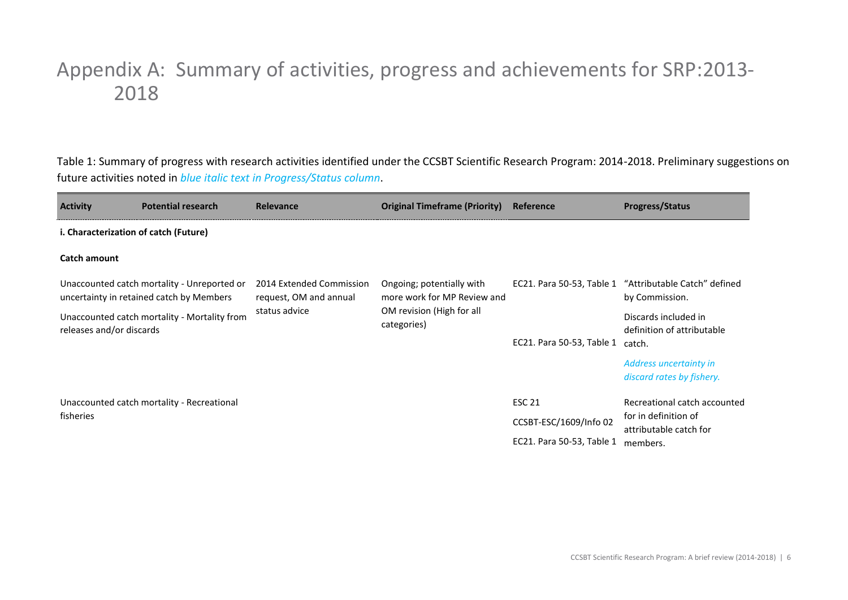### Appendix A: Summary of activities, progress and achievements for SRP:2013- 2018

Table 1: Summary of progress with research activities identified under the CCSBT Scientific Research Program: 2014-2018. Preliminary suggestions on future activities noted in *blue italic text in Progress/Status column*.

| <b>Activity</b>          | <b>Potential research</b>                                                               | <b>Relevance</b>                                   | <b>Original Timeframe (Priority)</b>                     | Reference                 | <b>Progress/Status</b>                                                   |  |  |  |  |  |
|--------------------------|-----------------------------------------------------------------------------------------|----------------------------------------------------|----------------------------------------------------------|---------------------------|--------------------------------------------------------------------------|--|--|--|--|--|
|                          | i. Characterization of catch (Future)                                                   |                                                    |                                                          |                           |                                                                          |  |  |  |  |  |
| <b>Catch amount</b>      |                                                                                         |                                                    |                                                          |                           |                                                                          |  |  |  |  |  |
|                          | Unaccounted catch mortality - Unreported or<br>uncertainty in retained catch by Members | 2014 Extended Commission<br>request, OM and annual | Ongoing; potentially with<br>more work for MP Review and |                           | EC21. Para 50-53, Table 1 "Attributable Catch" defined<br>by Commission. |  |  |  |  |  |
| releases and/or discards | Unaccounted catch mortality - Mortality from                                            | status advice                                      | OM revision (High for all<br>categories)                 | EC21. Para 50-53, Table 1 | Discards included in<br>definition of attributable<br>catch.             |  |  |  |  |  |
|                          |                                                                                         |                                                    |                                                          |                           | Address uncertainty in<br>discard rates by fishery.                      |  |  |  |  |  |
|                          | Unaccounted catch mortality - Recreational                                              |                                                    |                                                          | <b>ESC 21</b>             | Recreational catch accounted                                             |  |  |  |  |  |
| fisheries                |                                                                                         |                                                    |                                                          | CCSBT-ESC/1609/Info 02    | for in definition of<br>attributable catch for                           |  |  |  |  |  |
|                          |                                                                                         |                                                    |                                                          | EC21. Para 50-53, Table 1 | members.                                                                 |  |  |  |  |  |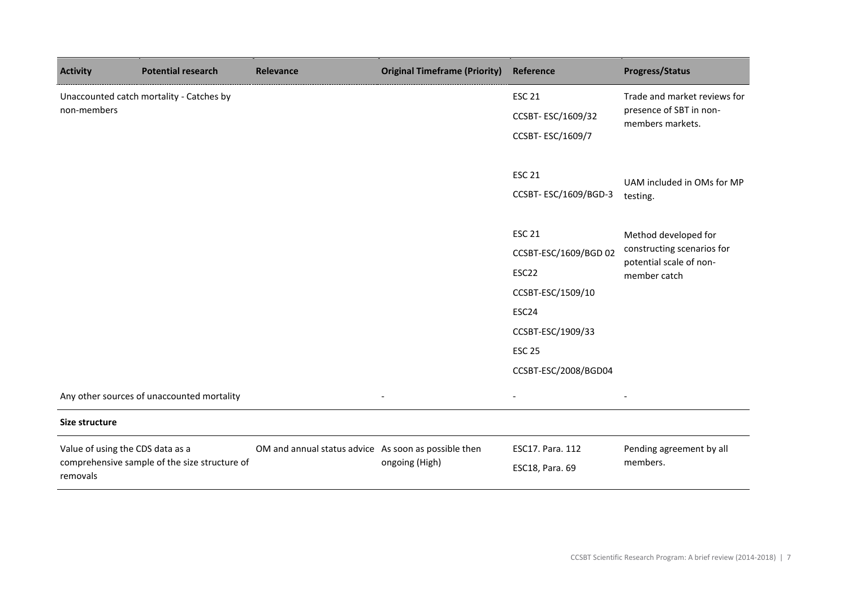| <b>Activity</b>                  | <b>Potential research</b>                     | Relevance                                            | <b>Original Timeframe (Priority)</b> | Reference             | <b>Progress/Status</b>                             |
|----------------------------------|-----------------------------------------------|------------------------------------------------------|--------------------------------------|-----------------------|----------------------------------------------------|
|                                  | Unaccounted catch mortality - Catches by      |                                                      |                                      | <b>ESC 21</b>         | Trade and market reviews for                       |
| non-members                      |                                               |                                                      |                                      | CCSBT-ESC/1609/32     | presence of SBT in non-<br>members markets.        |
|                                  |                                               |                                                      |                                      | CCSBT-ESC/1609/7      |                                                    |
|                                  |                                               |                                                      |                                      |                       |                                                    |
|                                  |                                               |                                                      |                                      | <b>ESC 21</b>         | UAM included in OMs for MP                         |
|                                  |                                               |                                                      |                                      | CCSBT-ESC/1609/BGD-3  | testing.                                           |
|                                  |                                               |                                                      |                                      |                       |                                                    |
|                                  |                                               |                                                      |                                      | <b>ESC 21</b>         | Method developed for<br>constructing scenarios for |
|                                  |                                               |                                                      |                                      | CCSBT-ESC/1609/BGD 02 | potential scale of non-<br>member catch            |
|                                  |                                               |                                                      |                                      | ESC22                 |                                                    |
|                                  |                                               |                                                      |                                      | CCSBT-ESC/1509/10     |                                                    |
|                                  |                                               |                                                      |                                      | ESC24                 |                                                    |
|                                  |                                               |                                                      |                                      | CCSBT-ESC/1909/33     |                                                    |
|                                  |                                               |                                                      |                                      | <b>ESC 25</b>         |                                                    |
|                                  |                                               |                                                      |                                      | CCSBT-ESC/2008/BGD04  |                                                    |
|                                  | Any other sources of unaccounted mortality    |                                                      |                                      |                       |                                                    |
| Size structure                   |                                               |                                                      |                                      |                       |                                                    |
| Value of using the CDS data as a |                                               | OM and annual status advice As soon as possible then |                                      | ESC17. Para. 112      | Pending agreement by all                           |
| removals                         | comprehensive sample of the size structure of |                                                      | ongoing (High)                       | ESC18, Para. 69       | members.                                           |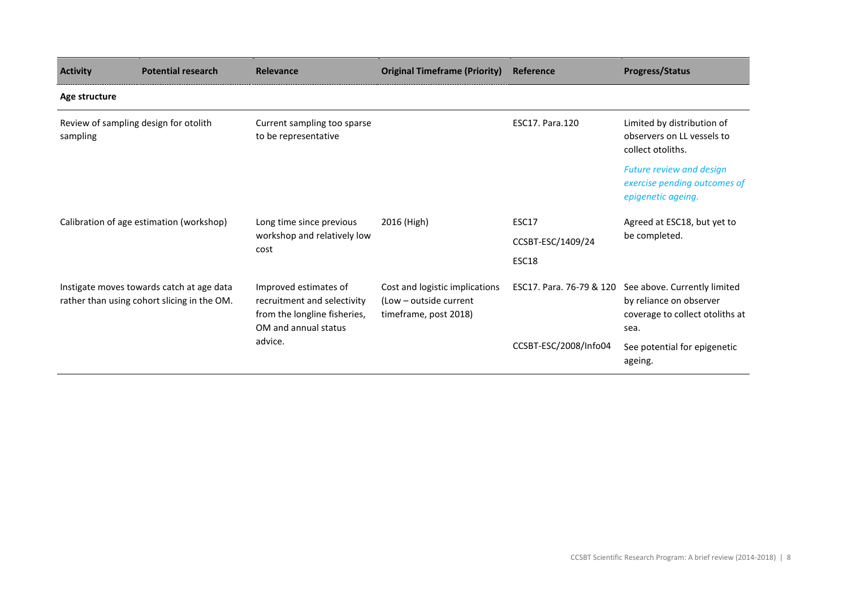| <b>Activity</b>                                   | <b>Potential research</b>                                                                | Relevance                                                                                                    | <b>Original Timeframe (Priority)</b>                                              | Reference                | <b>Progress/Status</b>                                                                             |
|---------------------------------------------------|------------------------------------------------------------------------------------------|--------------------------------------------------------------------------------------------------------------|-----------------------------------------------------------------------------------|--------------------------|----------------------------------------------------------------------------------------------------|
| Age structure                                     |                                                                                          |                                                                                                              |                                                                                   |                          |                                                                                                    |
| Review of sampling design for otolith<br>sampling |                                                                                          | Current sampling too sparse<br>to be representative                                                          |                                                                                   | <b>ESC17. Para.120</b>   | Limited by distribution of<br>observers on LL vessels to<br>collect otoliths.                      |
|                                                   |                                                                                          |                                                                                                              |                                                                                   |                          | <b>Future review and design</b><br>exercise pending outcomes of<br>epigenetic ageing.              |
|                                                   | Calibration of age estimation (workshop)                                                 | Long time since previous<br>workshop and relatively low<br>cost                                              | 2016 (High)                                                                       | ESC17                    | Agreed at ESC18, but yet to                                                                        |
|                                                   |                                                                                          |                                                                                                              |                                                                                   | CCSBT-ESC/1409/24        | be completed.                                                                                      |
|                                                   |                                                                                          |                                                                                                              |                                                                                   | ESC18                    |                                                                                                    |
|                                                   | Instigate moves towards catch at age data<br>rather than using cohort slicing in the OM. | Improved estimates of<br>recruitment and selectivity<br>from the longline fisheries,<br>OM and annual status | Cost and logistic implications<br>(Low – outside current<br>timeframe, post 2018) | ESC17. Para. 76-79 & 120 | See above. Currently limited<br>by reliance on observer<br>coverage to collect otoliths at<br>sea. |
|                                                   |                                                                                          | advice.                                                                                                      |                                                                                   | CCSBT-ESC/2008/Info04    | See potential for epigenetic<br>ageing.                                                            |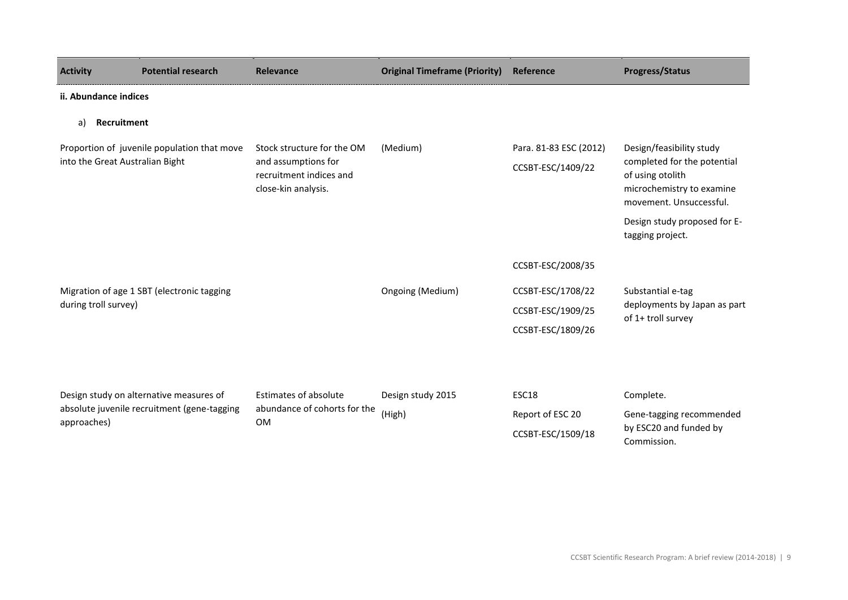| <b>Activity</b>                 | <b>Potential research</b>                   | <b>Relevance</b>                                                      | <b>Original Timeframe (Priority)</b> | Reference              | <b>Progress/Status</b>                                                                                  |  |  |  |  |
|---------------------------------|---------------------------------------------|-----------------------------------------------------------------------|--------------------------------------|------------------------|---------------------------------------------------------------------------------------------------------|--|--|--|--|
|                                 | ii. Abundance indices                       |                                                                       |                                      |                        |                                                                                                         |  |  |  |  |
| Recruitment<br>a)               |                                             |                                                                       |                                      |                        |                                                                                                         |  |  |  |  |
|                                 | Proportion of juvenile population that move | Stock structure for the OM                                            | (Medium)                             | Para. 81-83 ESC (2012) | Design/feasibility study                                                                                |  |  |  |  |
| into the Great Australian Bight |                                             | and assumptions for<br>recruitment indices and<br>close-kin analysis. |                                      | CCSBT-ESC/1409/22      | completed for the potential<br>of using otolith<br>microchemistry to examine<br>movement. Unsuccessful. |  |  |  |  |
|                                 |                                             |                                                                       |                                      |                        | Design study proposed for E-<br>tagging project.                                                        |  |  |  |  |
|                                 |                                             |                                                                       |                                      | CCSBT-ESC/2008/35      |                                                                                                         |  |  |  |  |
|                                 | Migration of age 1 SBT (electronic tagging  |                                                                       | Ongoing (Medium)                     | CCSBT-ESC/1708/22      | Substantial e-tag                                                                                       |  |  |  |  |
| during troll survey)            |                                             |                                                                       |                                      | CCSBT-ESC/1909/25      | deployments by Japan as part<br>of 1+ troll survey                                                      |  |  |  |  |
|                                 |                                             |                                                                       |                                      | CCSBT-ESC/1809/26      |                                                                                                         |  |  |  |  |
|                                 |                                             |                                                                       |                                      |                        |                                                                                                         |  |  |  |  |
|                                 | Design study on alternative measures of     | <b>Estimates of absolute</b>                                          | Design study 2015                    | ESC18                  | Complete.                                                                                               |  |  |  |  |
| approaches)                     | absolute juvenile recruitment (gene-tagging | abundance of cohorts for the<br><b>OM</b>                             | (High)                               | Report of ESC 20       | Gene-tagging recommended<br>by ESC20 and funded by<br>Commission.                                       |  |  |  |  |
|                                 |                                             |                                                                       |                                      | CCSBT-ESC/1509/18      |                                                                                                         |  |  |  |  |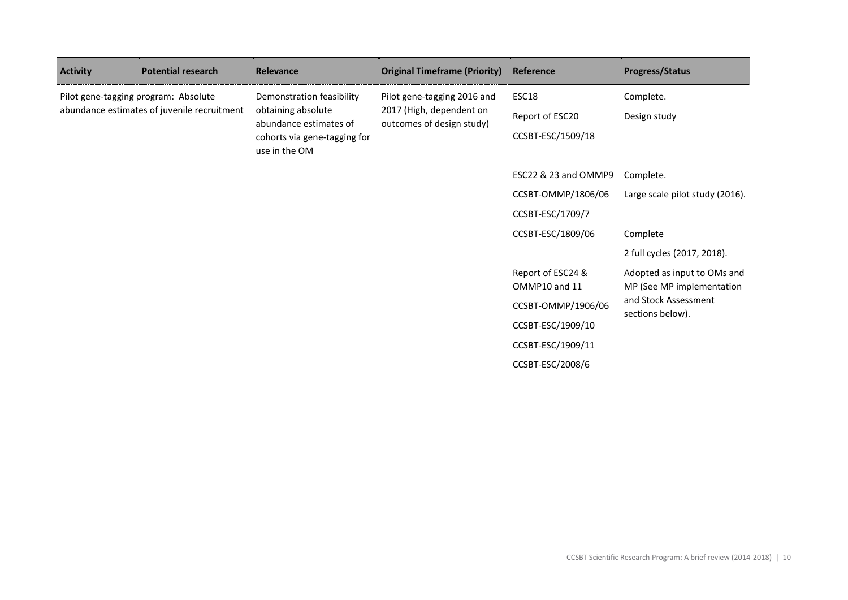| <b>Activity</b>                             | <b>Potential research</b>                     | Relevance                                                                 | <b>Original Timeframe (Priority)</b>                                                 | Reference                          | <b>Progress/Status</b>                                   |
|---------------------------------------------|-----------------------------------------------|---------------------------------------------------------------------------|--------------------------------------------------------------------------------------|------------------------------------|----------------------------------------------------------|
|                                             | Pilot gene-tagging program: Absolute          | Demonstration feasibility<br>obtaining absolute<br>abundance estimates of | Pilot gene-tagging 2016 and<br>2017 (High, dependent on<br>outcomes of design study) | ESC18                              | Complete.                                                |
| abundance estimates of juvenile recruitment |                                               |                                                                           |                                                                                      | Report of ESC20                    | Design study                                             |
|                                             | cohorts via gene-tagging for<br>use in the OM |                                                                           | CCSBT-ESC/1509/18                                                                    |                                    |                                                          |
|                                             |                                               |                                                                           |                                                                                      | ESC22 & 23 and OMMP9               | Complete.                                                |
|                                             |                                               |                                                                           |                                                                                      | CCSBT-OMMP/1806/06                 | Large scale pilot study (2016).                          |
|                                             |                                               |                                                                           |                                                                                      | CCSBT-ESC/1709/7                   |                                                          |
|                                             |                                               |                                                                           |                                                                                      | CCSBT-ESC/1809/06                  | Complete                                                 |
|                                             |                                               |                                                                           |                                                                                      |                                    | 2 full cycles (2017, 2018).                              |
|                                             |                                               |                                                                           |                                                                                      | Report of ESC24 &<br>OMMP10 and 11 | Adopted as input to OMs and<br>MP (See MP implementation |
|                                             |                                               |                                                                           |                                                                                      | CCSBT-OMMP/1906/06                 | and Stock Assessment<br>sections below).                 |
|                                             |                                               |                                                                           |                                                                                      | CCSBT-ESC/1909/10                  |                                                          |
|                                             |                                               |                                                                           |                                                                                      | CCSBT-ESC/1909/11                  |                                                          |
|                                             |                                               |                                                                           |                                                                                      | CCSBT-ESC/2008/6                   |                                                          |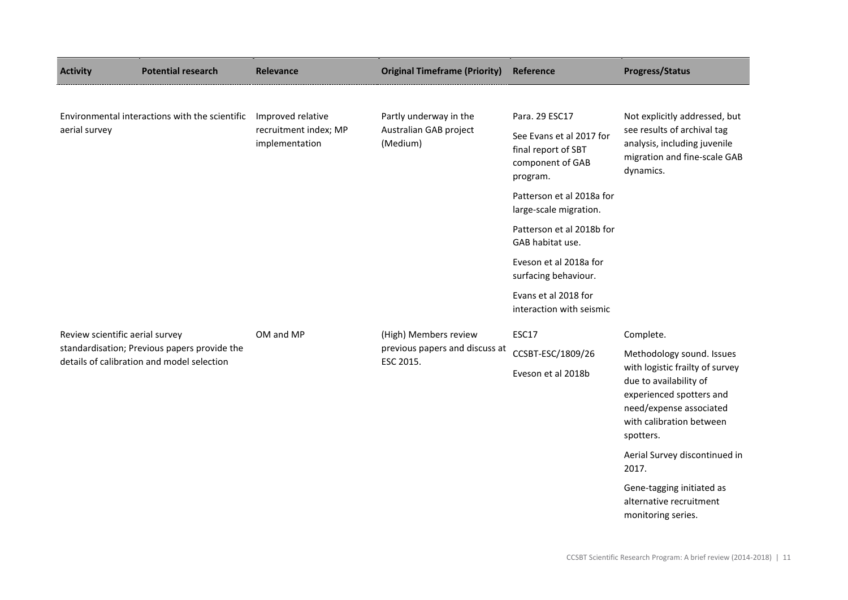| <b>Activity</b>                            | <b>Potential research</b>                      | Relevance                                  | <b>Original Timeframe (Priority)</b>                                            | Reference                                                                                                                                                 | <b>Progress/Status</b>                                                     |
|--------------------------------------------|------------------------------------------------|--------------------------------------------|---------------------------------------------------------------------------------|-----------------------------------------------------------------------------------------------------------------------------------------------------------|----------------------------------------------------------------------------|
|                                            |                                                |                                            |                                                                                 |                                                                                                                                                           |                                                                            |
|                                            | Environmental interactions with the scientific | Improved relative<br>recruitment index; MP | Partly underway in the                                                          | Para. 29 ESC17                                                                                                                                            | Not explicitly addressed, but                                              |
| aerial survey                              | implementation                                 | Australian GAB project<br>(Medium)         | See Evans et al 2017 for<br>final report of SBT<br>component of GAB<br>program. | see results of archival tag<br>analysis, including juvenile<br>migration and fine-scale GAB<br>dynamics.                                                  |                                                                            |
|                                            |                                                |                                            |                                                                                 | Patterson et al 2018a for<br>large-scale migration.                                                                                                       |                                                                            |
|                                            |                                                |                                            |                                                                                 | Patterson et al 2018b for<br>GAB habitat use.                                                                                                             |                                                                            |
|                                            |                                                |                                            |                                                                                 | Eveson et al 2018a for<br>surfacing behaviour.                                                                                                            |                                                                            |
|                                            |                                                |                                            |                                                                                 | Evans et al 2018 for<br>interaction with seismic                                                                                                          |                                                                            |
| Review scientific aerial survey            |                                                | OM and MP                                  | (High) Members review                                                           | ESC17                                                                                                                                                     | Complete.                                                                  |
|                                            | standardisation; Previous papers provide the   |                                            | previous papers and discuss at<br>ESC 2015.                                     | CCSBT-ESC/1809/26                                                                                                                                         | Methodology sound. Issues                                                  |
| details of calibration and model selection |                                                |                                            | Eveson et al 2018b                                                              | with logistic frailty of survey<br>due to availability of<br>experienced spotters and<br>need/expense associated<br>with calibration between<br>spotters. |                                                                            |
|                                            |                                                |                                            |                                                                                 |                                                                                                                                                           | Aerial Survey discontinued in<br>2017.                                     |
|                                            |                                                |                                            |                                                                                 |                                                                                                                                                           | Gene-tagging initiated as<br>alternative recruitment<br>monitoring series. |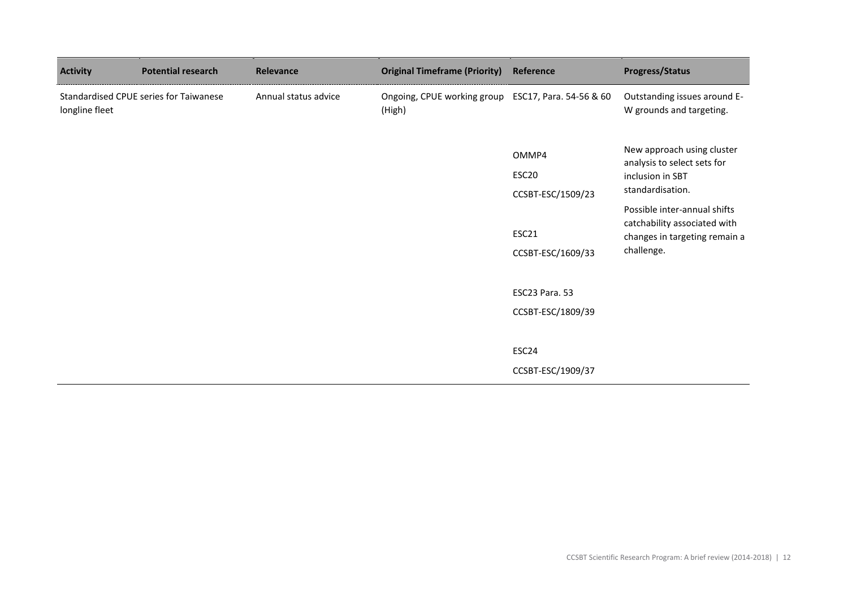| <b>Activity</b> | <b>Potential research</b>              | <b>Relevance</b>     | <b>Original Timeframe (Priority)</b>  | Reference                                       | <b>Progress/Status</b>                                                                                      |
|-----------------|----------------------------------------|----------------------|---------------------------------------|-------------------------------------------------|-------------------------------------------------------------------------------------------------------------|
| longline fleet  | Standardised CPUE series for Taiwanese | Annual status advice | Ongoing, CPUE working group<br>(High) | ESC17, Para. 54-56 & 60                         | Outstanding issues around E-<br>W grounds and targeting.                                                    |
|                 |                                        |                      |                                       | OMMP4<br>ESC <sub>20</sub>                      | New approach using cluster<br>analysis to select sets for<br>inclusion in SBT<br>standardisation.           |
|                 |                                        |                      |                                       | CCSBT-ESC/1509/23<br>ESC21<br>CCSBT-ESC/1609/33 | Possible inter-annual shifts<br>catchability associated with<br>changes in targeting remain a<br>challenge. |
|                 |                                        |                      |                                       | ESC23 Para. 53<br>CCSBT-ESC/1809/39             |                                                                                                             |
|                 |                                        |                      |                                       | ESC24<br>CCSBT-ESC/1909/37                      |                                                                                                             |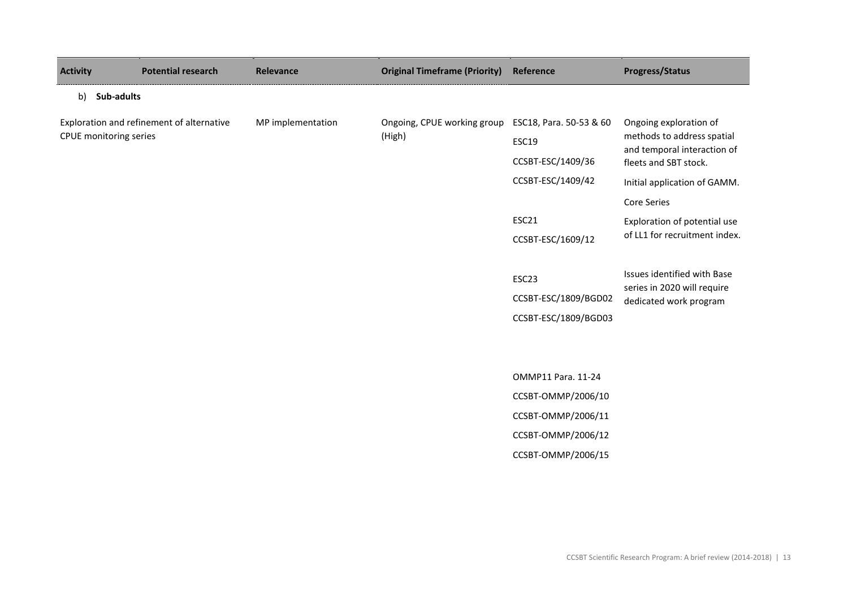| <b>Activity</b> | <b>Potential research</b>                                           | <b>Relevance</b>  | <b>Original Timeframe (Priority)</b>  | Reference                                                                                  | <b>Progress/Status</b>                                                                                                                                                                             |
|-----------------|---------------------------------------------------------------------|-------------------|---------------------------------------|--------------------------------------------------------------------------------------------|----------------------------------------------------------------------------------------------------------------------------------------------------------------------------------------------------|
|                 | b) Sub-adults                                                       |                   |                                       |                                                                                            |                                                                                                                                                                                                    |
|                 | Exploration and refinement of alternative<br>CPUE monitoring series | MP implementation | Ongoing, CPUE working group<br>(High) | ESC18, Para. 50-53 & 60<br><b>ESC19</b><br>CCSBT-ESC/1409/36<br>CCSBT-ESC/1409/42<br>ESC21 | Ongoing exploration of<br>methods to address spatial<br>and temporal interaction of<br>fleets and SBT stock.<br>Initial application of GAMM.<br><b>Core Series</b><br>Exploration of potential use |
|                 |                                                                     |                   |                                       | CCSBT-ESC/1609/12                                                                          | of LL1 for recruitment index.                                                                                                                                                                      |
|                 |                                                                     |                   |                                       | ESC <sub>23</sub>                                                                          | Issues identified with Base<br>series in 2020 will require                                                                                                                                         |
|                 |                                                                     |                   |                                       | CCSBT-ESC/1809/BGD02<br>CCSBT-ESC/1809/BGD03                                               | dedicated work program                                                                                                                                                                             |
|                 |                                                                     |                   |                                       |                                                                                            |                                                                                                                                                                                                    |
|                 |                                                                     |                   |                                       | OMMP11 Para. 11-24                                                                         |                                                                                                                                                                                                    |
|                 |                                                                     |                   |                                       | CCSBT-OMMP/2006/10                                                                         |                                                                                                                                                                                                    |
|                 |                                                                     |                   |                                       | CCSBT-OMMP/2006/11                                                                         |                                                                                                                                                                                                    |
|                 |                                                                     |                   |                                       | CCSBT-OMMP/2006/12                                                                         |                                                                                                                                                                                                    |
|                 |                                                                     |                   |                                       | CCSBT-OMMP/2006/15                                                                         |                                                                                                                                                                                                    |
|                 |                                                                     |                   |                                       |                                                                                            |                                                                                                                                                                                                    |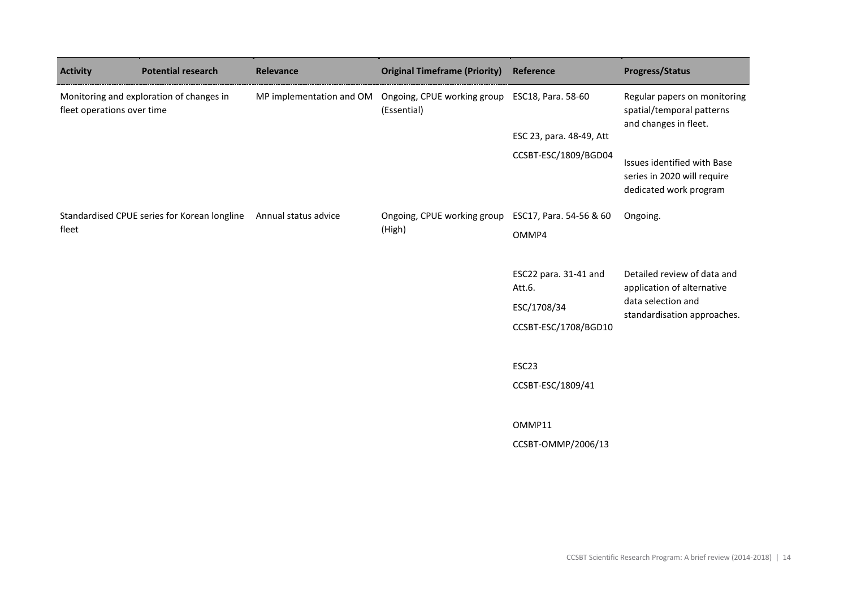| <b>Activity</b>                                                        | <b>Potential research</b>                    | Relevance                | <b>Original Timeframe (Priority)</b>       | Reference                       | <b>Progress/Status</b>                                                               |
|------------------------------------------------------------------------|----------------------------------------------|--------------------------|--------------------------------------------|---------------------------------|--------------------------------------------------------------------------------------|
| Monitoring and exploration of changes in<br>fleet operations over time |                                              | MP implementation and OM | Ongoing, CPUE working group<br>(Essential) | ESC18, Para. 58-60              | Regular papers on monitoring<br>spatial/temporal patterns<br>and changes in fleet.   |
|                                                                        |                                              |                          | ESC 23, para. 48-49, Att                   |                                 |                                                                                      |
|                                                                        |                                              |                          |                                            | CCSBT-ESC/1809/BGD04            | Issues identified with Base<br>series in 2020 will require<br>dedicated work program |
|                                                                        | Standardised CPUE series for Korean longline | Annual status advice     | Ongoing, CPUE working group                | ESC17, Para. 54-56 & 60         | Ongoing.                                                                             |
| fleet                                                                  |                                              | (High)                   | OMMP4                                      |                                 |                                                                                      |
|                                                                        |                                              |                          |                                            |                                 |                                                                                      |
|                                                                        |                                              |                          |                                            | ESC22 para. 31-41 and<br>Att.6. | Detailed review of data and<br>application of alternative                            |
|                                                                        |                                              |                          |                                            | ESC/1708/34                     | data selection and<br>standardisation approaches.                                    |
|                                                                        |                                              |                          |                                            | CCSBT-ESC/1708/BGD10            |                                                                                      |
|                                                                        |                                              |                          |                                            |                                 |                                                                                      |
|                                                                        |                                              |                          |                                            | ESC <sub>23</sub>               |                                                                                      |
|                                                                        |                                              |                          |                                            | CCSBT-ESC/1809/41               |                                                                                      |
|                                                                        |                                              |                          |                                            |                                 |                                                                                      |
|                                                                        |                                              |                          |                                            | OMMP11                          |                                                                                      |
|                                                                        |                                              |                          |                                            | CCSBT-OMMP/2006/13              |                                                                                      |
|                                                                        |                                              |                          |                                            |                                 |                                                                                      |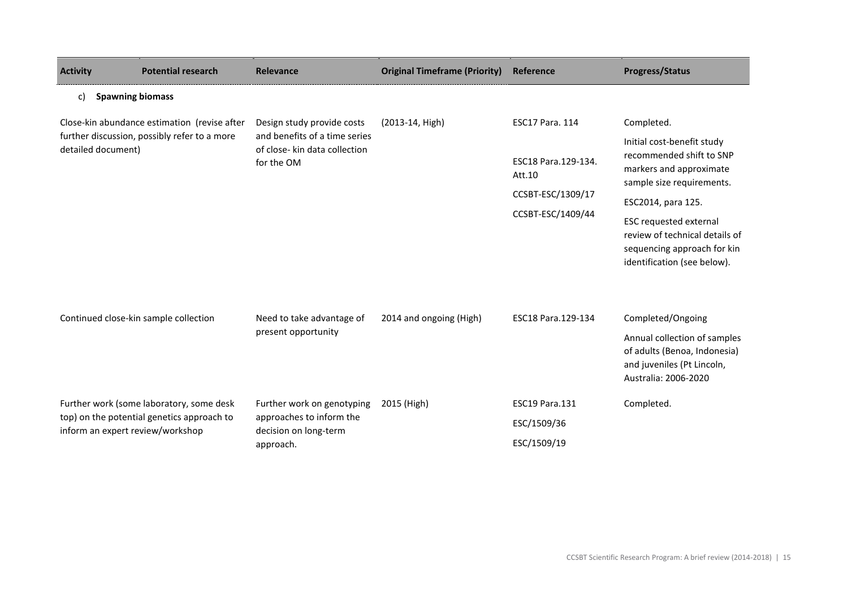| <b>Activity</b>                  | <b>Potential research</b>                                                                    | <b>Relevance</b>                                                                                           | <b>Original Timeframe (Priority)</b> | Reference                                                                                         | <b>Progress/Status</b>                                                                                                                                                                                                                                                              |
|----------------------------------|----------------------------------------------------------------------------------------------|------------------------------------------------------------------------------------------------------------|--------------------------------------|---------------------------------------------------------------------------------------------------|-------------------------------------------------------------------------------------------------------------------------------------------------------------------------------------------------------------------------------------------------------------------------------------|
| C)                               | <b>Spawning biomass</b>                                                                      |                                                                                                            |                                      |                                                                                                   |                                                                                                                                                                                                                                                                                     |
| detailed document)               | Close-kin abundance estimation (revise after<br>further discussion, possibly refer to a more | Design study provide costs<br>and benefits of a time series<br>of close- kin data collection<br>for the OM | (2013-14, High)                      | <b>ESC17 Para. 114</b><br>ESC18 Para.129-134.<br>Att.10<br>CCSBT-ESC/1309/17<br>CCSBT-ESC/1409/44 | Completed.<br>Initial cost-benefit study<br>recommended shift to SNP<br>markers and approximate<br>sample size requirements.<br>ESC2014, para 125.<br><b>ESC requested external</b><br>review of technical details of<br>sequencing approach for kin<br>identification (see below). |
|                                  | Continued close-kin sample collection                                                        | Need to take advantage of<br>present opportunity                                                           | 2014 and ongoing (High)              | ESC18 Para.129-134                                                                                | Completed/Ongoing<br>Annual collection of samples<br>of adults (Benoa, Indonesia)<br>and juveniles (Pt Lincoln,<br>Australia: 2006-2020                                                                                                                                             |
| inform an expert review/workshop | Further work (some laboratory, some desk<br>top) on the potential genetics approach to       | Further work on genotyping<br>approaches to inform the<br>decision on long-term<br>approach.               | 2015 (High)                          | <b>ESC19 Para.131</b><br>ESC/1509/36<br>ESC/1509/19                                               | Completed.                                                                                                                                                                                                                                                                          |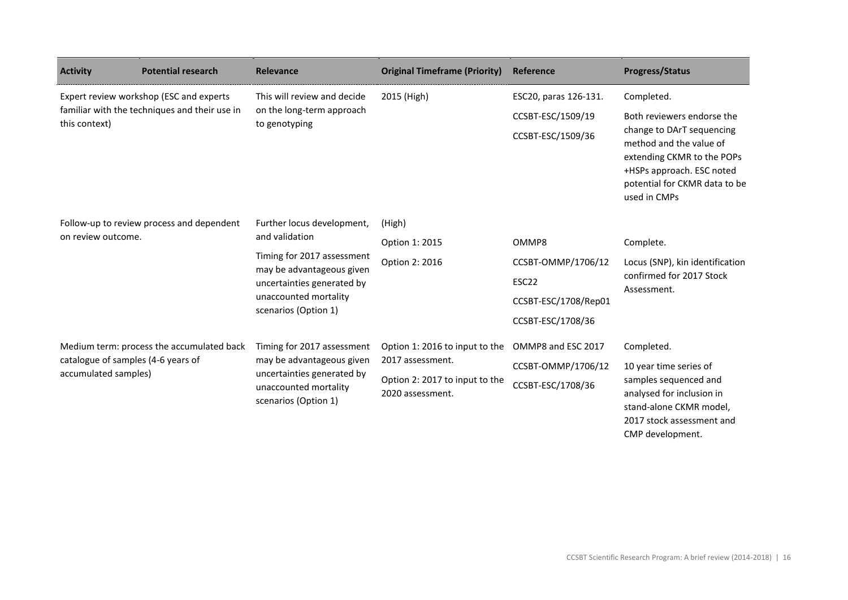| <b>Activity</b>                                            | <b>Potential research</b>                                                                | <b>Relevance</b>                                                                                                                                                                       | <b>Original Timeframe (Priority)</b>                                                                     | Reference                                                                         | <b>Progress/Status</b>                                                                                                                                                                                       |
|------------------------------------------------------------|------------------------------------------------------------------------------------------|----------------------------------------------------------------------------------------------------------------------------------------------------------------------------------------|----------------------------------------------------------------------------------------------------------|-----------------------------------------------------------------------------------|--------------------------------------------------------------------------------------------------------------------------------------------------------------------------------------------------------------|
| this context)                                              | Expert review workshop (ESC and experts<br>familiar with the techniques and their use in | This will review and decide<br>on the long-term approach<br>to genotyping                                                                                                              | 2015 (High)                                                                                              | ESC20, paras 126-131.<br>CCSBT-ESC/1509/19<br>CCSBT-ESC/1509/36                   | Completed.<br>Both reviewers endorse the<br>change to DArT sequencing<br>method and the value of<br>extending CKMR to the POPs<br>+HSPs approach. ESC noted<br>potential for CKMR data to be<br>used in CMPs |
| on review outcome.                                         | Follow-up to review process and dependent                                                | Further locus development,<br>and validation<br>Timing for 2017 assessment<br>may be advantageous given<br>uncertainties generated by<br>unaccounted mortality<br>scenarios (Option 1) | (High)<br>Option 1: 2015<br>Option 2: 2016                                                               | OMMP8<br>CCSBT-OMMP/1706/12<br>ESC22<br>CCSBT-ESC/1708/Rep01<br>CCSBT-ESC/1708/36 | Complete.<br>Locus (SNP), kin identification<br>confirmed for 2017 Stock<br>Assessment.                                                                                                                      |
| catalogue of samples (4-6 years of<br>accumulated samples) | Medium term: process the accumulated back                                                | Timing for 2017 assessment<br>may be advantageous given<br>uncertainties generated by<br>unaccounted mortality<br>scenarios (Option 1)                                                 | Option 1: 2016 to input to the<br>2017 assessment.<br>Option 2: 2017 to input to the<br>2020 assessment. | OMMP8 and ESC 2017<br>CCSBT-OMMP/1706/12<br>CCSBT-ESC/1708/36                     | Completed.<br>10 year time series of<br>samples sequenced and<br>analysed for inclusion in<br>stand-alone CKMR model,<br>2017 stock assessment and<br>CMP development.                                       |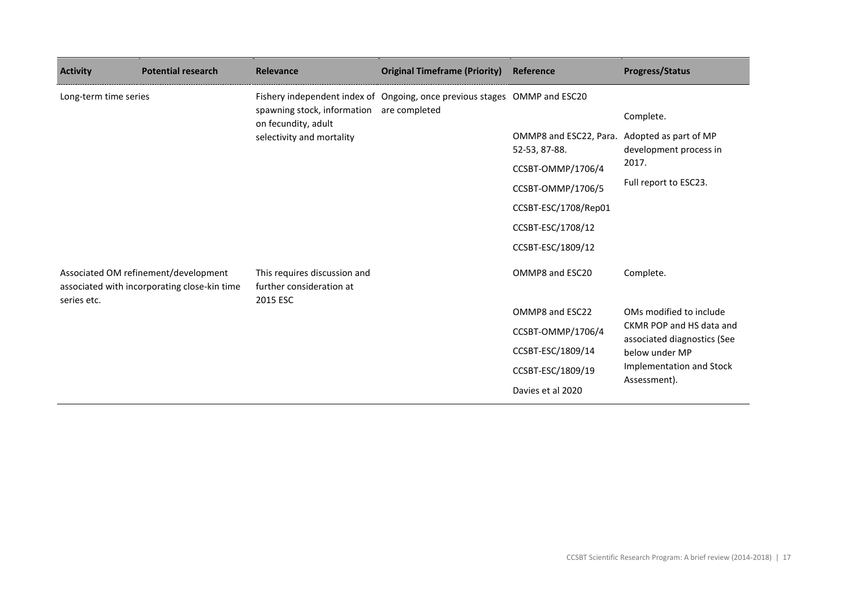| <b>Activity</b>                                                                                     | <b>Potential research</b> | <b>Relevance</b>                                                     | <b>Original Timeframe (Priority)</b>                                      | Reference                                                     | <b>Progress/Status</b>                                  |
|-----------------------------------------------------------------------------------------------------|---------------------------|----------------------------------------------------------------------|---------------------------------------------------------------------------|---------------------------------------------------------------|---------------------------------------------------------|
| Long-term time series                                                                               |                           |                                                                      | Fishery independent index of Ongoing, once previous stages OMMP and ESC20 |                                                               |                                                         |
|                                                                                                     |                           | spawning stock, information are completed<br>on fecundity, adult     |                                                                           |                                                               | Complete.                                               |
|                                                                                                     |                           | selectivity and mortality                                            |                                                                           | OMMP8 and ESC22, Para. Adopted as part of MP<br>52-53, 87-88. | development process in                                  |
|                                                                                                     |                           |                                                                      |                                                                           | CCSBT-OMMP/1706/4                                             | 2017.                                                   |
|                                                                                                     |                           |                                                                      |                                                                           | CCSBT-OMMP/1706/5                                             | Full report to ESC23.                                   |
|                                                                                                     |                           |                                                                      |                                                                           | CCSBT-ESC/1708/Rep01                                          |                                                         |
|                                                                                                     |                           |                                                                      |                                                                           | CCSBT-ESC/1708/12                                             |                                                         |
|                                                                                                     |                           |                                                                      |                                                                           | CCSBT-ESC/1809/12                                             |                                                         |
| Associated OM refinement/development<br>associated with incorporating close-kin time<br>series etc. |                           | This requires discussion and<br>further consideration at<br>2015 ESC |                                                                           | OMMP8 and ESC20                                               | Complete.                                               |
|                                                                                                     |                           |                                                                      |                                                                           | OMMP8 and ESC22                                               | OMs modified to include                                 |
|                                                                                                     |                           |                                                                      |                                                                           | CCSBT-OMMP/1706/4                                             | CKMR POP and HS data and<br>associated diagnostics (See |
|                                                                                                     |                           |                                                                      |                                                                           | CCSBT-ESC/1809/14                                             | below under MP                                          |
|                                                                                                     |                           |                                                                      |                                                                           | CCSBT-ESC/1809/19                                             | Implementation and Stock<br>Assessment).                |
|                                                                                                     |                           |                                                                      |                                                                           | Davies et al 2020                                             |                                                         |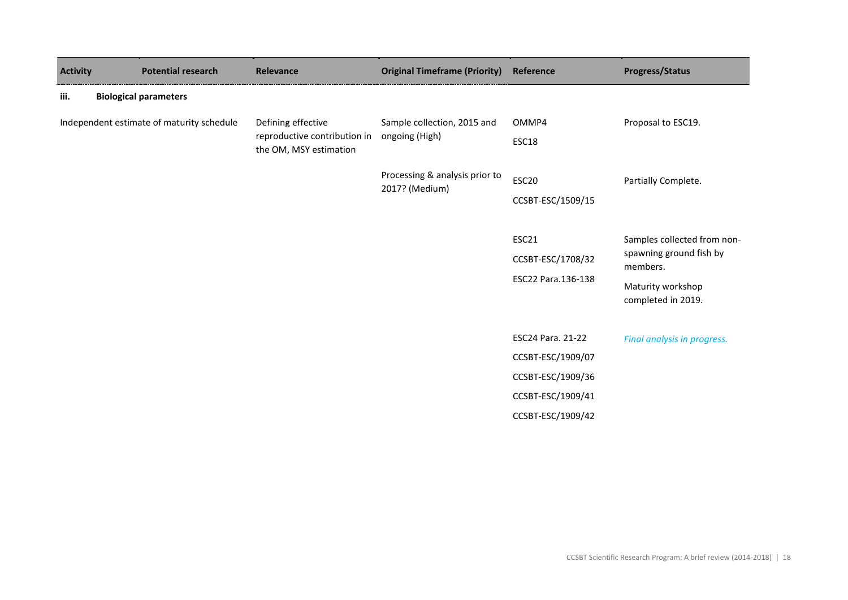| <b>Activity</b> | <b>Potential research</b>                 | Relevance                                                                    | <b>Original Timeframe (Priority) Reference</b>   |                                                                                                       | <b>Progress/Status</b>                                                                                        |
|-----------------|-------------------------------------------|------------------------------------------------------------------------------|--------------------------------------------------|-------------------------------------------------------------------------------------------------------|---------------------------------------------------------------------------------------------------------------|
| iii.            | <b>Biological parameters</b>              |                                                                              |                                                  |                                                                                                       |                                                                                                               |
|                 | Independent estimate of maturity schedule | Defining effective<br>reproductive contribution in<br>the OM, MSY estimation | Sample collection, 2015 and<br>ongoing (High)    | OMMP4<br>ESC18                                                                                        | Proposal to ESC19.                                                                                            |
|                 |                                           |                                                                              | Processing & analysis prior to<br>2017? (Medium) | ESC20<br>CCSBT-ESC/1509/15                                                                            | Partially Complete.                                                                                           |
|                 |                                           |                                                                              |                                                  | ESC21<br>CCSBT-ESC/1708/32<br>ESC22 Para.136-138                                                      | Samples collected from non-<br>spawning ground fish by<br>members.<br>Maturity workshop<br>completed in 2019. |
|                 |                                           |                                                                              |                                                  | ESC24 Para. 21-22<br>CCSBT-ESC/1909/07<br>CCSBT-ESC/1909/36<br>CCSBT-ESC/1909/41<br>CCSBT-ESC/1909/42 | Final analysis in progress.                                                                                   |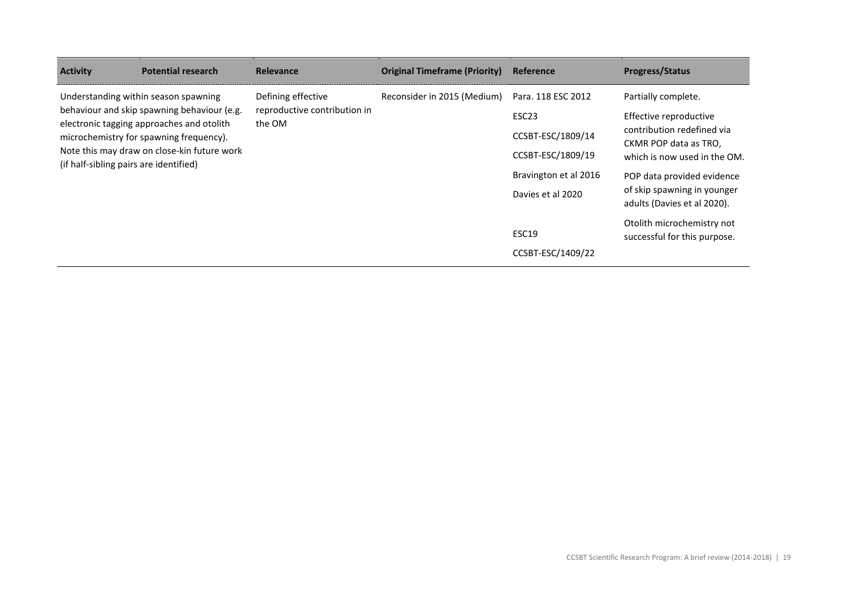| <b>Activity</b>                                                                                                                                                                                                                                                      | <b>Potential research</b> | <b>Relevance</b>                                             | <b>Original Timeframe (Priority)</b> | Reference                                  | <b>Progress/Status</b>                                                                                                               |
|----------------------------------------------------------------------------------------------------------------------------------------------------------------------------------------------------------------------------------------------------------------------|---------------------------|--------------------------------------------------------------|--------------------------------------|--------------------------------------------|--------------------------------------------------------------------------------------------------------------------------------------|
| Understanding within season spawning<br>behaviour and skip spawning behaviour (e.g.<br>electronic tagging approaches and otolith<br>microchemistry for spawning frequency).<br>Note this may draw on close-kin future work<br>(if half-sibling pairs are identified) |                           | Defining effective<br>reproductive contribution in<br>the OM | Reconsider in 2015 (Medium)          | Para. 118 ESC 2012<br>ESC <sub>23</sub>    | Partially complete.<br>Effective reproductive<br>contribution redefined via<br>CKMR POP data as TRO.<br>which is now used in the OM. |
|                                                                                                                                                                                                                                                                      |                           |                                                              |                                      | CCSBT-ESC/1809/14<br>CCSBT-ESC/1809/19     |                                                                                                                                      |
|                                                                                                                                                                                                                                                                      |                           |                                                              |                                      | Bravington et al 2016<br>Davies et al 2020 | POP data provided evidence<br>of skip spawning in younger<br>adults (Davies et al 2020).                                             |
|                                                                                                                                                                                                                                                                      |                           |                                                              |                                      | ESC19<br>CCSBT-ESC/1409/22                 | Otolith microchemistry not<br>successful for this purpose.                                                                           |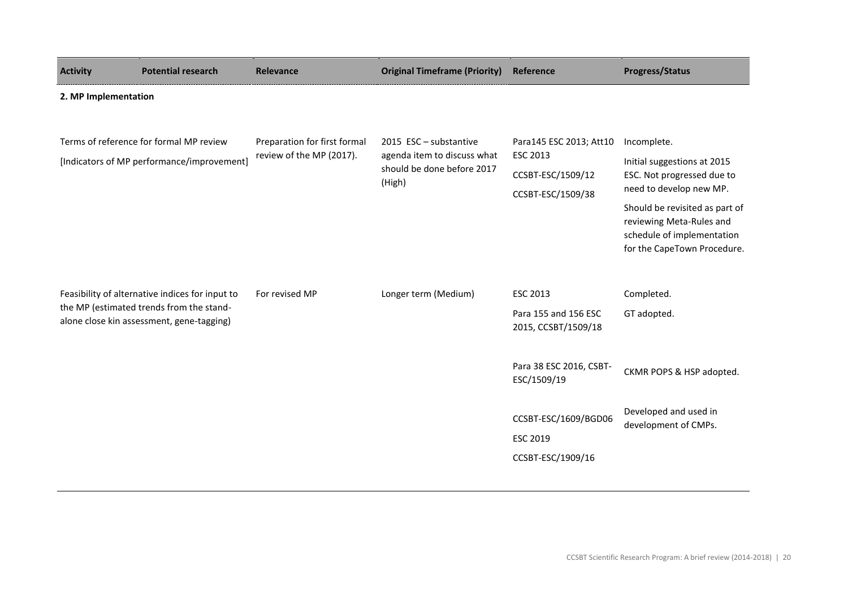| <b>Activity</b>                                                                                                                          | <b>Potential research</b>                                                             | Relevance                                                | <b>Original Timeframe (Priority)</b>                                                          | Reference                                                                                 | <b>Progress/Status</b>                                                                                                                                                                                                         |  |  |
|------------------------------------------------------------------------------------------------------------------------------------------|---------------------------------------------------------------------------------------|----------------------------------------------------------|-----------------------------------------------------------------------------------------------|-------------------------------------------------------------------------------------------|--------------------------------------------------------------------------------------------------------------------------------------------------------------------------------------------------------------------------------|--|--|
|                                                                                                                                          | 2. MP Implementation                                                                  |                                                          |                                                                                               |                                                                                           |                                                                                                                                                                                                                                |  |  |
|                                                                                                                                          | Terms of reference for formal MP review<br>[Indicators of MP performance/improvement] | Preparation for first formal<br>review of the MP (2017). | 2015 ESC - substantive<br>agenda item to discuss what<br>should be done before 2017<br>(High) | Para145 ESC 2013; Att10<br><b>ESC 2013</b><br>CCSBT-ESC/1509/12<br>CCSBT-ESC/1509/38      | Incomplete.<br>Initial suggestions at 2015<br>ESC. Not progressed due to<br>need to develop new MP.<br>Should be revisited as part of<br>reviewing Meta-Rules and<br>schedule of implementation<br>for the CapeTown Procedure. |  |  |
| Feasibility of alternative indices for input to<br>the MP (estimated trends from the stand-<br>alone close kin assessment, gene-tagging) |                                                                                       | For revised MP                                           | Longer term (Medium)                                                                          | <b>ESC 2013</b><br>Para 155 and 156 ESC<br>2015, CCSBT/1509/18<br>Para 38 ESC 2016, CSBT- | Completed.<br>GT adopted.                                                                                                                                                                                                      |  |  |
|                                                                                                                                          |                                                                                       |                                                          |                                                                                               | ESC/1509/19<br>CCSBT-ESC/1609/BGD06<br><b>ESC 2019</b><br>CCSBT-ESC/1909/16               | CKMR POPS & HSP adopted.<br>Developed and used in<br>development of CMPs.                                                                                                                                                      |  |  |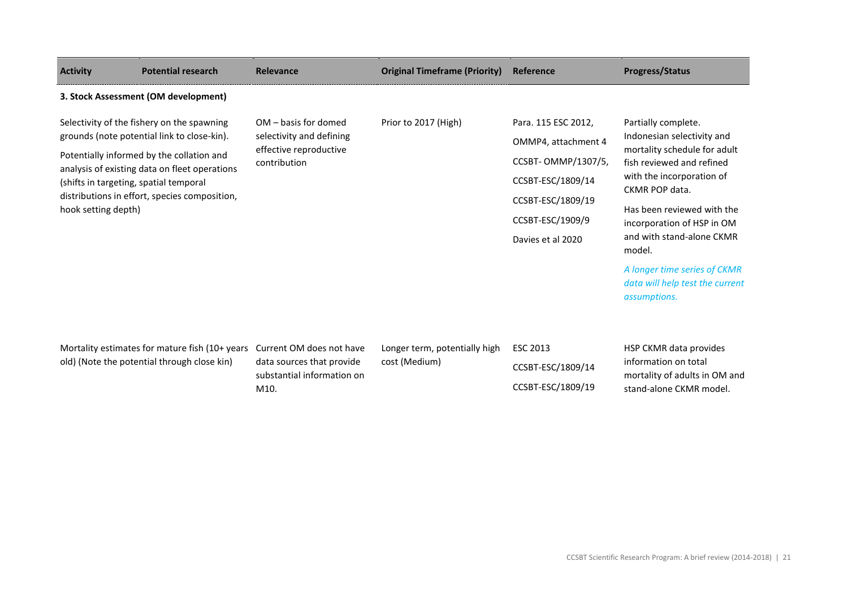| <b>Activity</b>                                                                                                                                                                                                                                                                                           | <b>Potential research</b>                                                                     | <b>Relevance</b>                                                                            | <b>Original Timeframe (Priority)</b>           | Reference                                                                                                                                            | <b>Progress/Status</b>                                                                                                                                                                                                                                           |
|-----------------------------------------------------------------------------------------------------------------------------------------------------------------------------------------------------------------------------------------------------------------------------------------------------------|-----------------------------------------------------------------------------------------------|---------------------------------------------------------------------------------------------|------------------------------------------------|------------------------------------------------------------------------------------------------------------------------------------------------------|------------------------------------------------------------------------------------------------------------------------------------------------------------------------------------------------------------------------------------------------------------------|
|                                                                                                                                                                                                                                                                                                           | 3. Stock Assessment (OM development)                                                          |                                                                                             |                                                |                                                                                                                                                      |                                                                                                                                                                                                                                                                  |
| Selectivity of the fishery on the spawning<br>grounds (note potential link to close-kin).<br>Potentially informed by the collation and<br>analysis of existing data on fleet operations<br>(shifts in targeting, spatial temporal<br>distributions in effort, species composition,<br>hook setting depth) |                                                                                               | OM - basis for domed<br>selectivity and defining<br>effective reproductive<br>contribution  | Prior to 2017 (High)                           | Para. 115 ESC 2012,<br>OMMP4, attachment 4<br>CCSBT- OMMP/1307/5,<br>CCSBT-ESC/1809/14<br>CCSBT-ESC/1809/19<br>CCSBT-ESC/1909/9<br>Davies et al 2020 | Partially complete.<br>Indonesian selectivity and<br>mortality schedule for adult<br>fish reviewed and refined<br>with the incorporation of<br>CKMR POP data.<br>Has been reviewed with the<br>incorporation of HSP in OM<br>and with stand-alone CKMR<br>model. |
|                                                                                                                                                                                                                                                                                                           |                                                                                               |                                                                                             |                                                |                                                                                                                                                      | A longer time series of CKMR<br>data will help test the current<br>assumptions.                                                                                                                                                                                  |
|                                                                                                                                                                                                                                                                                                           | Mortality estimates for mature fish (10+ years<br>old) (Note the potential through close kin) | Current OM does not have<br>data sources that provide<br>substantial information on<br>M10. | Longer term, potentially high<br>cost (Medium) | <b>ESC 2013</b><br>CCSBT-ESC/1809/14<br>CCSBT-ESC/1809/19                                                                                            | HSP CKMR data provides<br>information on total<br>mortality of adults in OM and<br>stand-alone CKMR model.                                                                                                                                                       |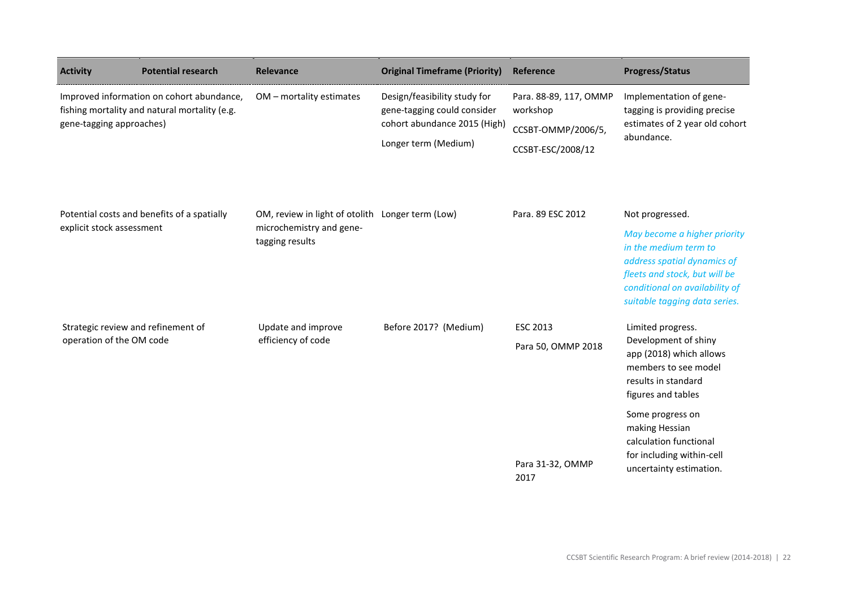| <b>Activity</b>           | <b>Potential research</b>                                                                  | Relevance                                                                                       | <b>Original Timeframe (Priority)</b>                                                                                | Reference                                                                     | <b>Progress/Status</b>                                                                                                                                                                                      |
|---------------------------|--------------------------------------------------------------------------------------------|-------------------------------------------------------------------------------------------------|---------------------------------------------------------------------------------------------------------------------|-------------------------------------------------------------------------------|-------------------------------------------------------------------------------------------------------------------------------------------------------------------------------------------------------------|
| gene-tagging approaches)  | Improved information on cohort abundance,<br>fishing mortality and natural mortality (e.g. | OM - mortality estimates                                                                        | Design/feasibility study for<br>gene-tagging could consider<br>cohort abundance 2015 (High)<br>Longer term (Medium) | Para. 88-89, 117, OMMP<br>workshop<br>CCSBT-OMMP/2006/5,<br>CCSBT-ESC/2008/12 | Implementation of gene-<br>tagging is providing precise<br>estimates of 2 year old cohort<br>abundance.                                                                                                     |
| explicit stock assessment | Potential costs and benefits of a spatially                                                | OM, review in light of otolith Longer term (Low)<br>microchemistry and gene-<br>tagging results |                                                                                                                     | Para. 89 ESC 2012                                                             | Not progressed.<br>May become a higher priority<br>in the medium term to<br>address spatial dynamics of<br>fleets and stock, but will be<br>conditional on availability of<br>suitable tagging data series. |
| operation of the OM code  | Strategic review and refinement of                                                         | Update and improve<br>efficiency of code                                                        | Before 2017? (Medium)                                                                                               | <b>ESC 2013</b><br>Para 50, OMMP 2018                                         | Limited progress.<br>Development of shiny<br>app (2018) which allows<br>members to see model<br>results in standard<br>figures and tables<br>Some progress on<br>making Hessian                             |
|                           |                                                                                            |                                                                                                 |                                                                                                                     | Para 31-32, OMMP<br>2017                                                      | calculation functional<br>for including within-cell<br>uncertainty estimation.                                                                                                                              |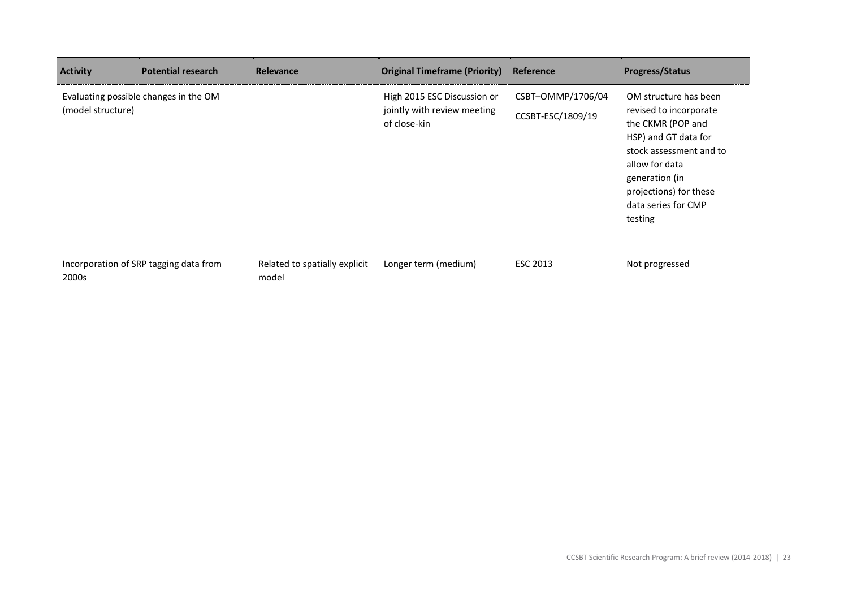| <b>Activity</b>   | <b>Potential research</b>              | Relevance                              | <b>Original Timeframe (Priority)</b>                                       | Reference                              | <b>Progress/Status</b>                                                                                                                                                                                                  |
|-------------------|----------------------------------------|----------------------------------------|----------------------------------------------------------------------------|----------------------------------------|-------------------------------------------------------------------------------------------------------------------------------------------------------------------------------------------------------------------------|
| (model structure) | Evaluating possible changes in the OM  |                                        | High 2015 ESC Discussion or<br>jointly with review meeting<br>of close-kin | CSBT-OMMP/1706/04<br>CCSBT-ESC/1809/19 | OM structure has been<br>revised to incorporate<br>the CKMR (POP and<br>HSP) and GT data for<br>stock assessment and to<br>allow for data<br>generation (in<br>projections) for these<br>data series for CMP<br>testing |
| 2000s             | Incorporation of SRP tagging data from | Related to spatially explicit<br>model | Longer term (medium)                                                       | ESC 2013                               | Not progressed                                                                                                                                                                                                          |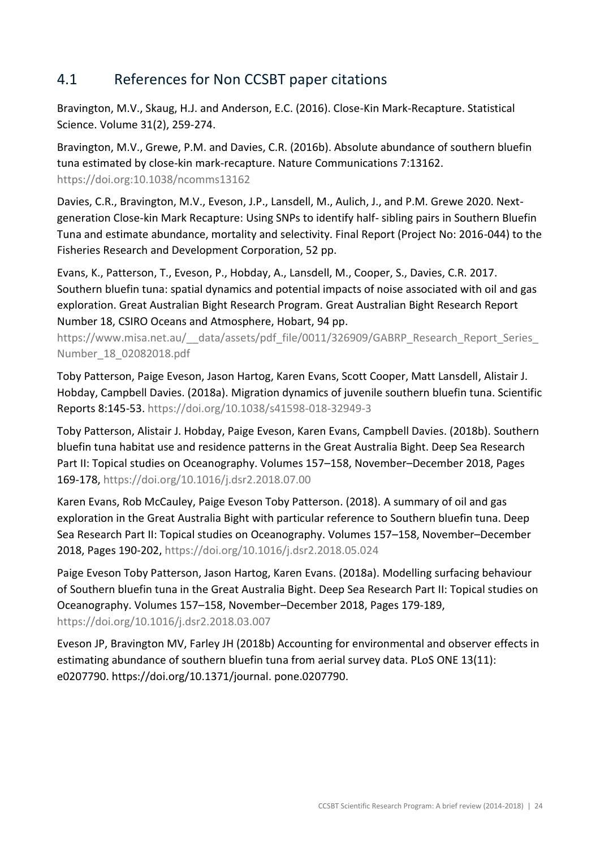#### 4.1 References for Non CCSBT paper citations

Bravington, M.V., Skaug, H.J. and Anderson, E.C. (2016). Close-Kin Mark-Recapture. Statistical Science. Volume 31(2), 259-274.

Bravington, M.V., Grewe, P.M. and Davies, C.R. (2016b). Absolute abundance of southern bluefin tuna estimated by close-kin mark-recapture. Nature Communications 7:13162. <https://doi.org:10.1038/ncomms13162>

Davies, C.R., Bravington, M.V., Eveson, J.P., Lansdell, M., Aulich, J., and P.M. Grewe 2020. Nextgeneration Close-kin Mark Recapture: Using SNPs to identify half- sibling pairs in Southern Bluefin Tuna and estimate abundance, mortality and selectivity. Final Report (Project No: 2016-044) to the Fisheries Research and Development Corporation, 52 pp.

Evans, K., Patterson, T., Eveson, P., Hobday, A., Lansdell, M., Cooper, S., Davies, C.R. 2017. Southern bluefin tuna: spatial dynamics and potential impacts of noise associated with oil and gas exploration. Great Australian Bight Research Program. Great Australian Bight Research Report Number 18, CSIRO Oceans and Atmosphere, Hobart, 94 pp.

https://www.misa.net.au/ data/assets/pdf file/0011/326909/GABRP Research Report Series [Number\\_18\\_02082018.pdf](https://www.misa.net.au/__data/assets/pdf_file/0011/326909/GABRP_Research_Report_Series_Number_18_02082018.pdf)

Toby Patterson, Paige Eveson, Jason Hartog, Karen Evans, Scott Cooper, Matt Lansdell, Alistair J. Hobday, Campbell Davies. (2018a). Migration dynamics of juvenile southern bluefin tuna. Scientific Reports 8:145-53.<https://doi.org/10.1038/s41598-018-32949-3>

Toby Patterson, Alistair J. Hobday, Paige Eveson, Karen Evans, Campbell Davies. (2018b). Southern bluefin tuna habitat use and residence patterns in the Great Australia Bight. Deep Sea Research Part II: Topical studies on Oceanography. Volumes 157–158, November–December 2018, Pages 169-178,<https://doi.org/10.1016/j.dsr2.2018.07.00>

Karen Evans, Rob McCauley, Paige Eveson Toby Patterson. (2018). A summary of oil and gas exploration in the Great Australia Bight with particular reference to Southern bluefin tuna. Deep Sea Research Part II: Topical studies on Oceanography. Volumes 157–158, November–December 2018, Pages 190-202,<https://doi.org/10.1016/j.dsr2.2018.05.024>

Paige Eveson Toby Patterson, Jason Hartog, Karen Evans. (2018a). Modelling surfacing behaviour of Southern bluefin tuna in the Great Australia Bight. Deep Sea Research Part II: Topical studies on Oceanography. Volumes 157–158, November–December 2018, Pages 179-189, <https://doi.org/10.1016/j.dsr2.2018.03.007>

Eveson JP, Bravington MV, Farley JH (2018b) Accounting for environmental and observer effects in estimating abundance of southern bluefin tuna from aerial survey data. PLoS ONE 13(11): e0207790. https://doi.org/10.1371/journal. pone.0207790.